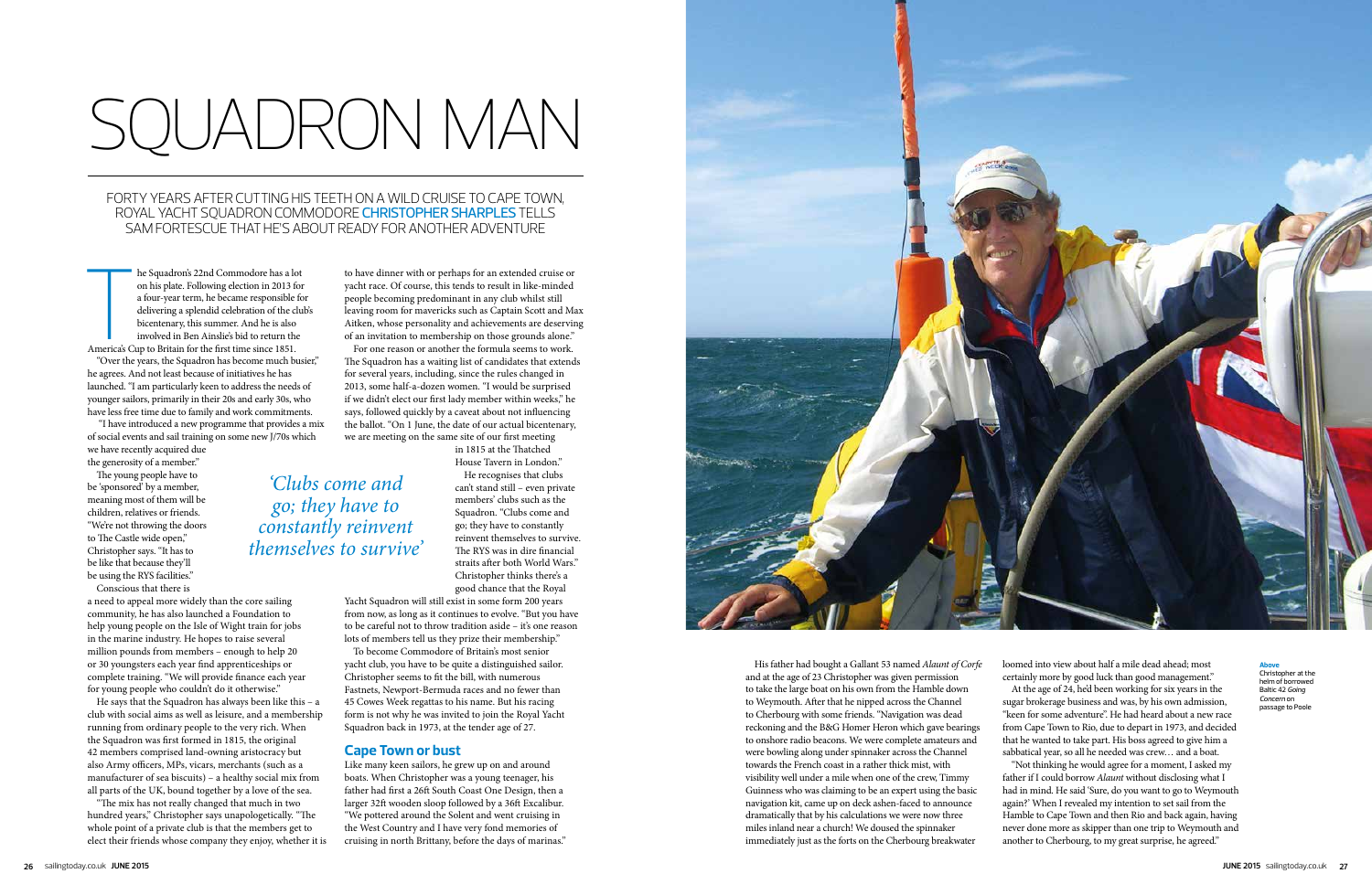# SQUADRON MAN

FORTY YEARS AFTER CUTTING HIS TEETH ON A WILD CRUISE TO CAPE TOWN, ROYAL YACHT SQUADRON COMMODORE CHRISTOPHER SHARPLES TELLS SAM FORTESCUE THAT HE'S ABOUT READY FOR ANOTHER ADVENTURE

Santa Current Contract Current Current Current Current Current Current Current Current Current Current Current Current Current Current Current Current Current Current Current Current Current Current Current Current Current he Squadron's 22nd Commodore has a lot on his plate. Following election in 2013 for a four-year term, he became responsible for delivering a splendid celebration of the club's bicentenary, this summer. And he is also involved in Ben Ainslie's bid to return the America's Cup to Britain for the first time since 1851.

"Over the years, the Squadron has become much busier," he agrees. And not least because of initiatives he has launched. "I am particularly keen to address the needs of younger sailors, primarily in their 20s and early 30s, who have less free time due to family and work commitments.

 "I have introduced a new programme that provides a mix of social events and sail training on some new J/70s which we have recently acquired due the generosity of a member."

The young people have to be 'sponsored' by a member, meaning most of them will be children, relatives or friends. "We're not throwing the doors to The Castle wide open," Christopher says. "It has to be like that because they'll be using the RYS facilities."

Conscious that there is a need to appeal more widely than the core sailing community, he has also launched a Foundation to help young people on the Isle of Wight train for jobs in the marine industry. He hopes to raise several million pounds from members – enough to help 20 or 30 youngsters each year find apprenticeships or complete training. "We will provide finance each year for young people who couldn't do it otherwise."

Yacht Squadron will still exist in some form 200 years from now, as long as it continues to evolve. "But you have to be careful not to throw tradition aside – it's one reason lots of members tell us they prize their membership.'

He says that the Squadron has always been like this – a club with social aims as well as leisure, and a membership running from ordinary people to the very rich. When the Squadron was first formed in 1815, the original 42 members comprised land-owning aristocracy but also Army officers, MPs, vicars, merchants (such as a manufacturer of sea biscuits) – a healthy social mix from all parts of the UK, bound together by a love of the sea.

"The mix has not really changed that much in two hundred years," Christopher says unapologetically. "The whole point of a private club is that the members get to elect their friends whose company they enjoy, whether it is to have dinner with or perhaps for an extended cruise or yacht race. Of course, this tends to result in like-minded people becoming predominant in any club whilst still leaving room for mavericks such as Captain Scott and Max Aitken, whose personality and achievements are deserving of an invitation to membership on those grounds alone."

For one reason or another the formula seems to work. The Squadron has a waiting list of candidates that extends for several years, including, since the rules changed in 2013, some half-a-dozen women. "I would be surprised if we didn't elect our first lady member within weeks," he says, followed quickly by a caveat about not influencing the ballot. "On 1 June, the date of our actual bicentenary, we are meeting on the same site of our first meeting

> in 1815 at the Thatched House Tavern in London."

He recognises that clubs can't stand still – even private members' clubs such as the Squadron. "Clubs come and go; they have to constantly reinvent themselves to survive. The RYS was in dire financial straits after both World Wars." Christopher thinks there's a good chance that the Royal

To become Commodore of Britain's most senior yacht club, you have to be quite a distinguished sailor. Christopher seems to fit the bill, with numerous Fastnets, Newport-Bermuda races and no fewer than 45 Cowes Week regattas to his name. But his racing form is not why he was invited to join the Royal Yacht Squadron back in 1973, at the tender age of 27.

## **Cape Town or bust**

Like many keen sailors, he grew up on and around boats. When Christopher was a young teenager, his father had first a 26ft South Coast One Design, then a larger 32ft wooden sloop followed by a 36ft Excalibur. "We pottered around the Solent and went cruising in the West Country and I have very fond memories of cruising in north Brittany, before the days of marinas."



*'Clubs come and* 

*go; they have to* 

*constantly reinvent themselves to survive'*

> His father had bought a Gallant 53 named *Alaunt of Corfe* and at the age of 23 Christopher was given permission to take the large boat on his own from the Hamble down to Weymouth. After that he nipped across the Channel to Cherbourg with some friends. "Navigation was dead reckoning and the B&G Homer Heron which gave bearings to onshore radio beacons. We were complete amateurs and were bowling along under spinnaker across the Channel towards the French coast in a rather thick mist, with visibility well under a mile when one of the crew, Timmy Guinness who was claiming to be an expert using the basic navigation kit, came up on deck ashen-faced to announce dramatically that by his calculations we were now three miles inland near a church! We doused the spinnaker immediately just as the forts on the Cherbourg breakwater

loomed into view about half a mile dead ahead; most certainly more by good luck than good management." At the age of 24, he'd been working for six years in the sugar brokerage business and was, by his own admission, "keen for some adventure". He had heard about a new race from Cape Town to Rio, due to depart in 1973, and decided that he wanted to take part. His boss agreed to give him a sabbatical year, so all he needed was crew… and a boat.

"Not thinking he would agree for a moment, I asked my father if I could borrow *Alaunt* without disclosing what I had in mind. He said 'Sure, do you want to go to Weymouth again?' When I revealed my intention to set sail from the Hamble to Cape Town and then Rio and back again, having never done more as skipper than one trip to Weymouth and another to Cherbourg, to my great surprise, he agreed."

### **Above**

Christopher at the helm of borrowed Baltic 42 *Going Concern* on passage to Poole